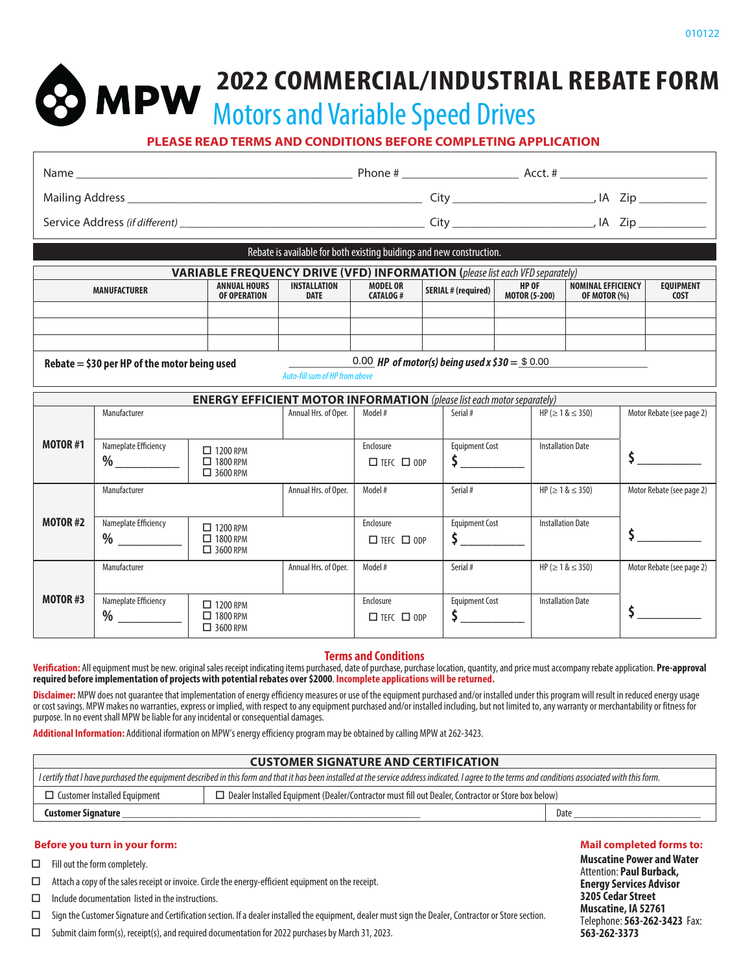**2022 COMMERCIAL/INDUSTRIAL REBATE FORM** 

Motors and Variable Speed Drives

**PLEASE READ TERMS AND CONDITIONS BEFORE COMPLETING APPLICATION**

| Name | Phone #                                                              | Acct. #   |
|------|----------------------------------------------------------------------|-----------|
|      | ⊡tv                                                                  | ∠ip<br>IA |
|      | Citv                                                                 | IA Zip    |
|      | Rebate is available for both existing buidings and new construction. |           |

|                                                                                                  | <b>VARIABLE FREQUENCY DRIVE (VFD) INFORMATION (please list each VFD separately)</b> |                             |                                    |                            |                                      |                                    |                                 |
|--------------------------------------------------------------------------------------------------|-------------------------------------------------------------------------------------|-----------------------------|------------------------------------|----------------------------|--------------------------------------|------------------------------------|---------------------------------|
| MANUFACTURER                                                                                     | <b>ANNUAL HOURS</b><br>OF OPERATION                                                 | INSTALLATION<br><b>DATE</b> | <b>MODEL OR</b><br><b>CATALOG#</b> | <b>SERIAL # (required)</b> | <b>HP OF</b><br><b>MOTOR (5-200)</b> | NOMINAL EFFICIENCY<br>OF MOTOR (%) | <b>EQUIPMENT</b><br><b>COST</b> |
|                                                                                                  |                                                                                     |                             |                                    |                            |                                      |                                    |                                 |
|                                                                                                  |                                                                                     |                             |                                    |                            |                                      |                                    |                                 |
|                                                                                                  |                                                                                     |                             |                                    |                            |                                      |                                    |                                 |
| 0.00 HP of motor(s) being used x $$30 = $0.00$<br>Rebate $=$ \$30 per HP of the motor being used |                                                                                     |                             |                                    |                            |                                      |                                    |                                 |

 $Rebate = $30$  per HP of the motor being used

**MPW** 

Auto-fill sum of HP from above

| <b>ENERGY EFFICIENT MOTOR INFORMATION</b> (please list each motor separately) |                           |                                                       |                      |                                           |                       |                                |                           |
|-------------------------------------------------------------------------------|---------------------------|-------------------------------------------------------|----------------------|-------------------------------------------|-----------------------|--------------------------------|---------------------------|
|                                                                               | Manufacturer              |                                                       | Annual Hrs. of Oper. | Model #                                   | Serial #              | $HP ( \ge 1 & 8 \le 350)$      | Motor Rebate (see page 2) |
| <b>MOTOR #1</b>                                                               | Nameplate Efficiency<br>% | $\Box$ 1200 RPM<br>$\Box$ 1800 RPM<br>$\Box$ 3600 RPM |                      | Enclosure<br>$\square$ TEFC $\square$ ODP | <b>Equipment Cost</b> | <b>Installation Date</b>       |                           |
|                                                                               | Manufacturer              |                                                       | Annual Hrs. of Oper. | Model #                                   | Serial #              | $HP$ ( $\geq 1$ & $\leq 350$ ) | Motor Rebate (see page 2) |
| <b>MOTOR #2</b>                                                               | Nameplate Efficiency<br>% | $\Box$ 1200 RPM<br>$\Box$ 1800 RPM                    |                      | Enclosure<br>$\square$ TEFC $\square$ ODP | <b>Equipment Cost</b> | <b>Installation Date</b>       |                           |
|                                                                               |                           | $\Box$ 3600 RPM                                       |                      |                                           |                       |                                |                           |
|                                                                               | Manufacturer              |                                                       | Annual Hrs. of Oper. | Model #                                   | Serial #              | $HP ( \ge 1 & 8 \le 350)$      | Motor Rebate (see page 2) |
| MOTOR #3                                                                      | Nameplate Efficiency<br>% | $\Box$ 1200 RPM<br>$\Box$ 1800 RPM<br>$\Box$ 3600 RPM |                      | Enclosure<br>$\square$ TEFC $\square$ ODP | <b>Equipment Cost</b> | <b>Installation Date</b>       |                           |

## **Terms and Conditions**

**Verification:** All equipment must be new. original sales receipt indicating items purchased, date of purchase, purchase location, quantity, and price must accompany rebate application. **Pre-approval required before implementation of projects with potential rebates over \$2000**. **Incomplete applications will be returned.**

Disclaimer: MPW does not guarantee that implementation of energy efficiency measures or use of the equipment purchased and/or installed under this program will result in reduced energy usage or cost savings. MPW makes no warranties, express or implied, with respect to any equipment purchased and/or installed including, but not limited to, any warranty or merchantability or fitness for purpose. In no event shall MPW be liable for any incidental or consequential damages.

**Additional Information:** Additional iformation on MPW's energy efficiency program may be obtained by calling MPW at 262-3423.

### **CUSTOMER SIGNATURE AND CERTIFICATION**

| $^{\rm +}$ I certify that I have purchased the equipment described in this form and that it has been installed at the service address indicated. I agree to the terms and conditions associated with this form. |      |  |  |  |
|-----------------------------------------------------------------------------------------------------------------------------------------------------------------------------------------------------------------|------|--|--|--|
| $\Box$ Dealer Installed Equipment (Dealer/Contractor must fill out Dealer, Contractor or Store box below)<br>Customer Installed Equipment                                                                       |      |  |  |  |
| <b>Customer Signature</b>                                                                                                                                                                                       | Date |  |  |  |

#### **Before you turn in your form:**

 $\Box$  Fill out the form completely.

 $\Box$  Attach a copy of the sales receipt or invoice. Circle the energy-efficient equipment on the receipt.

 $\Box$  Include documentation listed in the instructions.

Sign the Customer Signature and Certification section. If a dealer installed the equipment, dealer must sign the Dealer, Contractor or Store section.

 $\square$  Submit claim form(s), receipt(s), and required documentation for 2022 purchases by March 31, 2023.

## **Mail completed forms to:**

**Muscatine Power and Water** Attention: **Paul Burback, Energy Services Advisor 3205 Cedar Street Muscatine, IA 52761** Telephone: **563-262-3423** Fax: **563-262-3373**